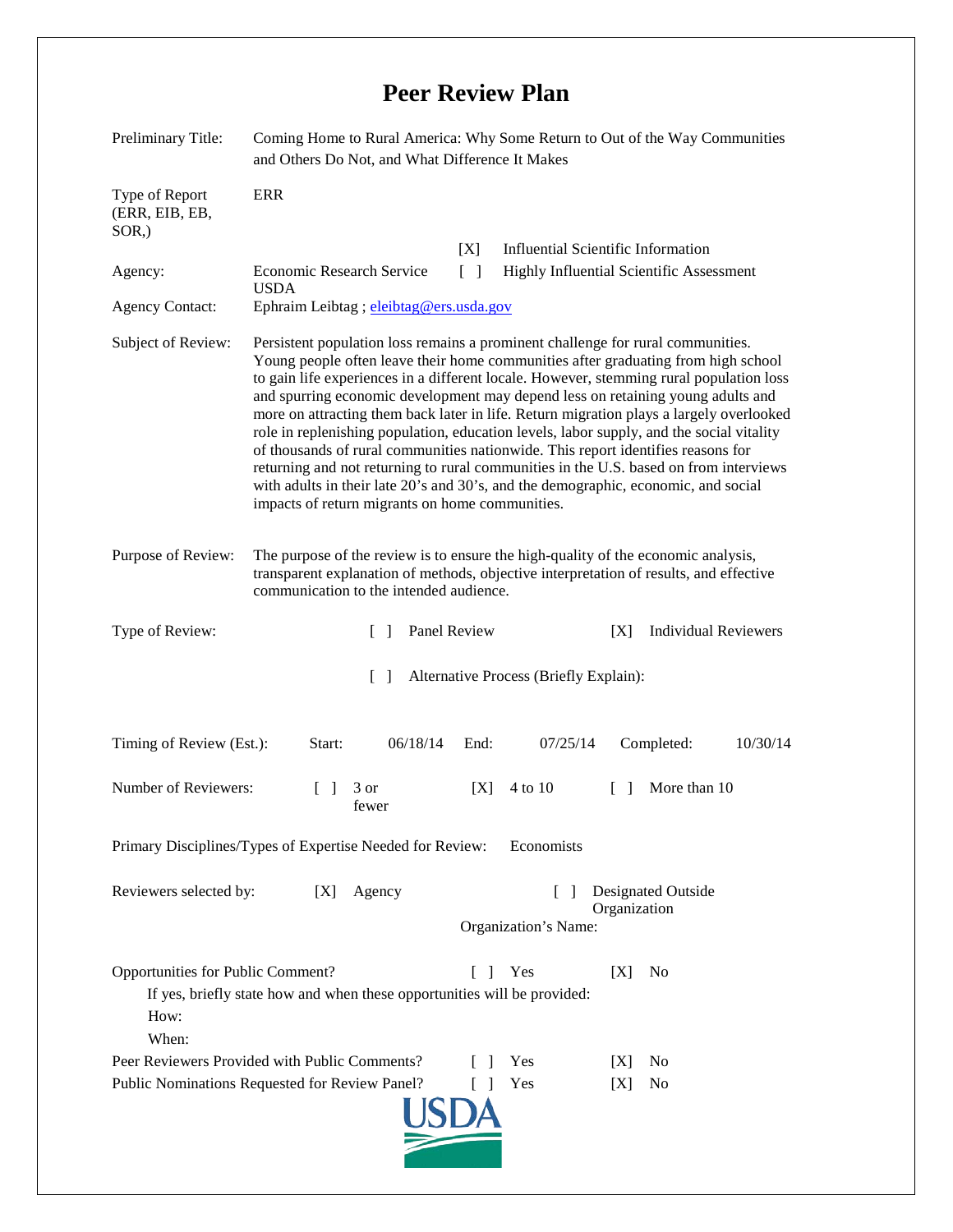## **Peer Review Plan**

| Preliminary Title:                                                                                                                                                      | Coming Home to Rural America: Why Some Return to Out of the Way Communities<br>and Others Do Not, and What Difference It Makes                                                                                                                                                                                                                                                                                                                                                                                                                                                                                                                                                                                                                                                                                                                                  |                |                                                                            |        |                             |  |
|-------------------------------------------------------------------------------------------------------------------------------------------------------------------------|-----------------------------------------------------------------------------------------------------------------------------------------------------------------------------------------------------------------------------------------------------------------------------------------------------------------------------------------------------------------------------------------------------------------------------------------------------------------------------------------------------------------------------------------------------------------------------------------------------------------------------------------------------------------------------------------------------------------------------------------------------------------------------------------------------------------------------------------------------------------|----------------|----------------------------------------------------------------------------|--------|-----------------------------|--|
| Type of Report<br>(ERR, EIB, EB,<br>SOR <sub>.</sub> )                                                                                                                  | <b>ERR</b>                                                                                                                                                                                                                                                                                                                                                                                                                                                                                                                                                                                                                                                                                                                                                                                                                                                      |                |                                                                            |        |                             |  |
|                                                                                                                                                                         |                                                                                                                                                                                                                                                                                                                                                                                                                                                                                                                                                                                                                                                                                                                                                                                                                                                                 | [X]            | <b>Influential Scientific Information</b>                                  |        |                             |  |
| Agency:                                                                                                                                                                 | Economic Research Service<br>Highly Influential Scientific Assessment<br>$\lceil$ $\rceil$<br><b>USDA</b>                                                                                                                                                                                                                                                                                                                                                                                                                                                                                                                                                                                                                                                                                                                                                       |                |                                                                            |        |                             |  |
| <b>Agency Contact:</b>                                                                                                                                                  | Ephraim Leibtag; eleibtag@ers.usda.gov                                                                                                                                                                                                                                                                                                                                                                                                                                                                                                                                                                                                                                                                                                                                                                                                                          |                |                                                                            |        |                             |  |
| Subject of Review:                                                                                                                                                      | Persistent population loss remains a prominent challenge for rural communities.<br>Young people often leave their home communities after graduating from high school<br>to gain life experiences in a different locale. However, stemming rural population loss<br>and spurring economic development may depend less on retaining young adults and<br>more on attracting them back later in life. Return migration plays a largely overlooked<br>role in replenishing population, education levels, labor supply, and the social vitality<br>of thousands of rural communities nationwide. This report identifies reasons for<br>returning and not returning to rural communities in the U.S. based on from interviews<br>with adults in their late 20's and 30's, and the demographic, economic, and social<br>impacts of return migrants on home communities. |                |                                                                            |        |                             |  |
| Purpose of Review:                                                                                                                                                      | The purpose of the review is to ensure the high-quality of the economic analysis,<br>transparent explanation of methods, objective interpretation of results, and effective<br>communication to the intended audience.                                                                                                                                                                                                                                                                                                                                                                                                                                                                                                                                                                                                                                          |                |                                                                            |        |                             |  |
| Type of Review:                                                                                                                                                         | $\Box$                                                                                                                                                                                                                                                                                                                                                                                                                                                                                                                                                                                                                                                                                                                                                                                                                                                          | Panel Review   |                                                                            | [X]    | <b>Individual Reviewers</b> |  |
| $\lceil \rceil$<br>Alternative Process (Briefly Explain):                                                                                                               |                                                                                                                                                                                                                                                                                                                                                                                                                                                                                                                                                                                                                                                                                                                                                                                                                                                                 |                |                                                                            |        |                             |  |
| Timing of Review (Est.):                                                                                                                                                | 06/18/14<br>Start:                                                                                                                                                                                                                                                                                                                                                                                                                                                                                                                                                                                                                                                                                                                                                                                                                                              | End:           | 07/25/14                                                                   |        | Completed:<br>10/30/14      |  |
| Number of Reviewers:                                                                                                                                                    | 3 or<br>fewer                                                                                                                                                                                                                                                                                                                                                                                                                                                                                                                                                                                                                                                                                                                                                                                                                                                   | [X]            | 4 to 10                                                                    | $\Box$ | More than 10                |  |
| Primary Disciplines/Types of Expertise Needed for Review:<br>Economists                                                                                                 |                                                                                                                                                                                                                                                                                                                                                                                                                                                                                                                                                                                                                                                                                                                                                                                                                                                                 |                |                                                                            |        |                             |  |
| Reviewers selected by:<br>Agency<br>[X]                                                                                                                                 |                                                                                                                                                                                                                                                                                                                                                                                                                                                                                                                                                                                                                                                                                                                                                                                                                                                                 |                | Designated Outside<br>$\mathsf{L}$<br>Organization<br>Organization's Name: |        |                             |  |
| Opportunities for Public Comment?<br>Yes<br>No<br>IXI<br>L<br>$\mathbf{I}$<br>If yes, briefly state how and when these opportunities will be provided:<br>How:<br>When: |                                                                                                                                                                                                                                                                                                                                                                                                                                                                                                                                                                                                                                                                                                                                                                                                                                                                 |                |                                                                            |        |                             |  |
|                                                                                                                                                                         | Peer Reviewers Provided with Public Comments?                                                                                                                                                                                                                                                                                                                                                                                                                                                                                                                                                                                                                                                                                                                                                                                                                   | $\overline{1}$ | Yes                                                                        | IXI    | No                          |  |
| Public Nominations Requested for Review Panel?<br><b>Yes</b><br>N <sub>0</sub><br>$\Box$<br>[X]                                                                         |                                                                                                                                                                                                                                                                                                                                                                                                                                                                                                                                                                                                                                                                                                                                                                                                                                                                 |                |                                                                            |        |                             |  |